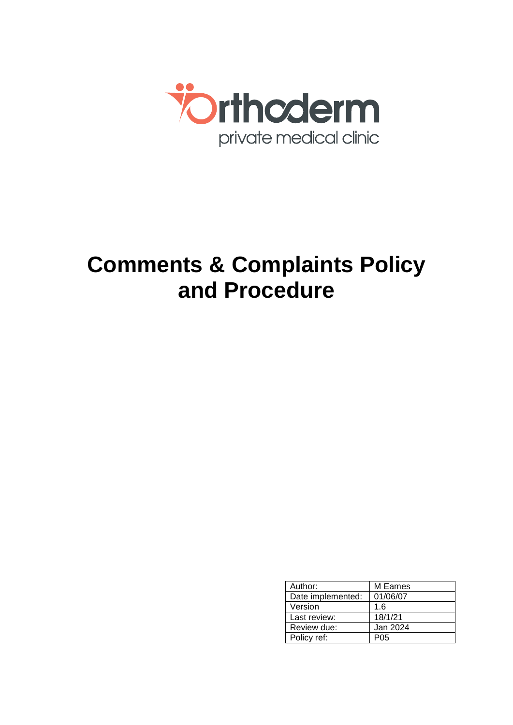

# **Comments & Complaints Policy and Procedure**

| Author:           | M Eames  |
|-------------------|----------|
| Date implemented: | 01/06/07 |
| Version           | 1.6      |
| Last review:      | 18/1/21  |
| Review due:       | Jan 2024 |
| Policy ref:       | P05      |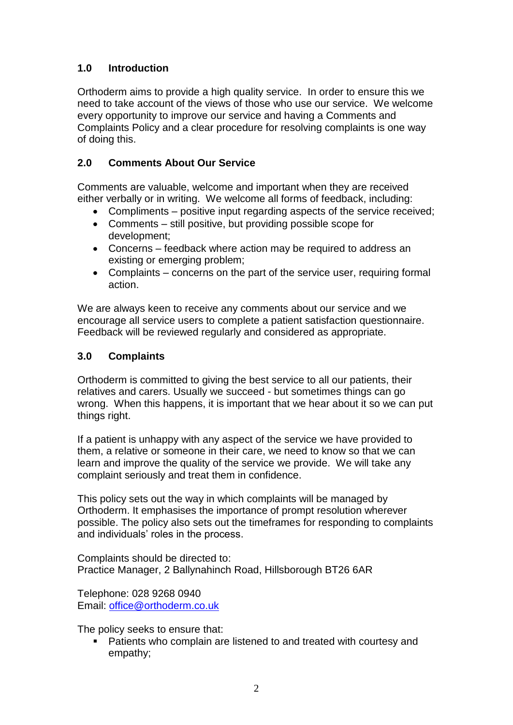# **1.0 Introduction**

Orthoderm aims to provide a high quality service. In order to ensure this we need to take account of the views of those who use our service. We welcome every opportunity to improve our service and having a Comments and Complaints Policy and a clear procedure for resolving complaints is one way of doing this.

## **2.0 Comments About Our Service**

Comments are valuable, welcome and important when they are received either verbally or in writing. We welcome all forms of feedback, including:

- Compliments positive input regarding aspects of the service received;
- Comments still positive, but providing possible scope for development;
- Concerns feedback where action may be required to address an existing or emerging problem;
- Complaints concerns on the part of the service user, requiring formal action.

We are always keen to receive any comments about our service and we encourage all service users to complete a patient satisfaction questionnaire. Feedback will be reviewed regularly and considered as appropriate.

## **3.0 Complaints**

Orthoderm is committed to giving the best service to all our patients, their relatives and carers. Usually we succeed - but sometimes things can go wrong. When this happens, it is important that we hear about it so we can put things right.

If a patient is unhappy with any aspect of the service we have provided to them, a relative or someone in their care, we need to know so that we can learn and improve the quality of the service we provide. We will take any complaint seriously and treat them in confidence.

This policy sets out the way in which complaints will be managed by Orthoderm. It emphasises the importance of prompt resolution wherever possible. The policy also sets out the timeframes for responding to complaints and individuals' roles in the process.

Complaints should be directed to: Practice Manager, 2 Ballynahinch Road, Hillsborough BT26 6AR

Telephone: 028 9268 0940 Email: [office@orthoderm.co.uk](mailto:office@orthoderm.co.uk)

The policy seeks to ensure that:

 Patients who complain are listened to and treated with courtesy and empathy;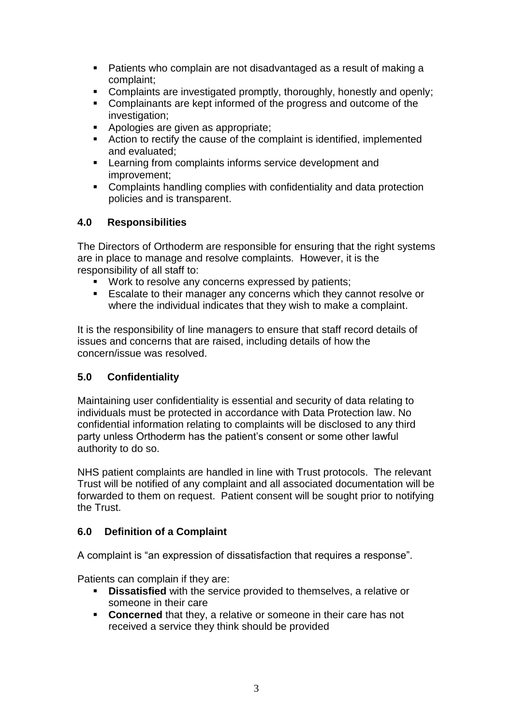- Patients who complain are not disadvantaged as a result of making a complaint;
- Complaints are investigated promptly, thoroughly, honestly and openly;
- Complainants are kept informed of the progress and outcome of the investigation;
- Apologies are given as appropriate;
- Action to rectify the cause of the complaint is identified, implemented and evaluated;
- **EXECTE:** Learning from complaints informs service development and improvement;
- Complaints handling complies with confidentiality and data protection policies and is transparent.

## **4.0 Responsibilities**

The Directors of Orthoderm are responsible for ensuring that the right systems are in place to manage and resolve complaints. However, it is the responsibility of all staff to:

- **Work to resolve any concerns expressed by patients:**
- **Escalate to their manager any concerns which they cannot resolve or** where the individual indicates that they wish to make a complaint.

It is the responsibility of line managers to ensure that staff record details of issues and concerns that are raised, including details of how the concern/issue was resolved.

#### **5.0 Confidentiality**

Maintaining user confidentiality is essential and security of data relating to individuals must be protected in accordance with Data Protection law. No confidential information relating to complaints will be disclosed to any third party unless Orthoderm has the patient's consent or some other lawful authority to do so.

NHS patient complaints are handled in line with Trust protocols. The relevant Trust will be notified of any complaint and all associated documentation will be forwarded to them on request. Patient consent will be sought prior to notifying the Trust.

#### **6.0 Definition of a Complaint**

A complaint is "an expression of dissatisfaction that requires a response".

Patients can complain if they are:

- **Dissatisfied** with the service provided to themselves, a relative or someone in their care
- **Concerned** that they, a relative or someone in their care has not received a service they think should be provided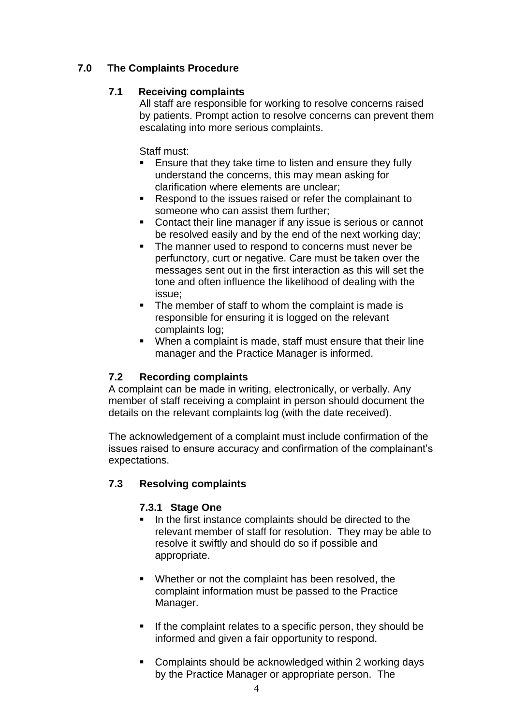# **7.0 The Complaints Procedure**

#### **7.1 Receiving complaints**

All staff are responsible for working to resolve concerns raised by patients. Prompt action to resolve concerns can prevent them escalating into more serious complaints.

Staff must:

- **Ensure that they take time to listen and ensure they fully** understand the concerns, this may mean asking for clarification where elements are unclear;
- Respond to the issues raised or refer the complainant to someone who can assist them further;
- Contact their line manager if any issue is serious or cannot be resolved easily and by the end of the next working day;
- The manner used to respond to concerns must never be perfunctory, curt or negative. Care must be taken over the messages sent out in the first interaction as this will set the tone and often influence the likelihood of dealing with the issue;
- The member of staff to whom the complaint is made is responsible for ensuring it is logged on the relevant complaints log;
- When a complaint is made, staff must ensure that their line manager and the Practice Manager is informed.

#### **7.2 Recording complaints**

A complaint can be made in writing, electronically, or verbally. Any member of staff receiving a complaint in person should document the details on the relevant complaints log (with the date received).

The acknowledgement of a complaint must include confirmation of the issues raised to ensure accuracy and confirmation of the complainant's expectations.

#### **7.3 Resolving complaints**

#### **7.3.1 Stage One**

- In the first instance complaints should be directed to the relevant member of staff for resolution. They may be able to resolve it swiftly and should do so if possible and appropriate.
- Whether or not the complaint has been resolved, the complaint information must be passed to the Practice Manager.
- If the complaint relates to a specific person, they should be informed and given a fair opportunity to respond.
- Complaints should be acknowledged within 2 working days by the Practice Manager or appropriate person. The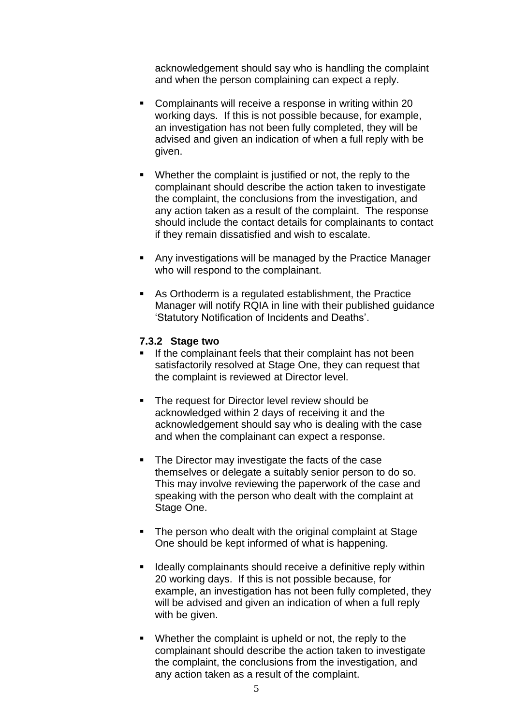acknowledgement should say who is handling the complaint and when the person complaining can expect a reply.

- **Complainants will receive a response in writing within 20** working days. If this is not possible because, for example, an investigation has not been fully completed, they will be advised and given an indication of when a full reply with be given.
- Whether the complaint is justified or not, the reply to the complainant should describe the action taken to investigate the complaint, the conclusions from the investigation, and any action taken as a result of the complaint. The response should include the contact details for complainants to contact if they remain dissatisfied and wish to escalate.
- Any investigations will be managed by the Practice Manager who will respond to the complainant.
- As Orthoderm is a regulated establishment, the Practice Manager will notify RQIA in line with their published guidance 'Statutory Notification of Incidents and Deaths'.

#### **7.3.2 Stage two**

- If the complainant feels that their complaint has not been satisfactorily resolved at Stage One, they can request that the complaint is reviewed at Director level.
- The request for Director level review should be acknowledged within 2 days of receiving it and the acknowledgement should say who is dealing with the case and when the complainant can expect a response.
- The Director may investigate the facts of the case themselves or delegate a suitably senior person to do so. This may involve reviewing the paperwork of the case and speaking with the person who dealt with the complaint at Stage One.
- The person who dealt with the original complaint at Stage One should be kept informed of what is happening.
- **If** Ideally complainants should receive a definitive reply within 20 working days. If this is not possible because, for example, an investigation has not been fully completed, they will be advised and given an indication of when a full reply with be given.
- Whether the complaint is upheld or not, the reply to the complainant should describe the action taken to investigate the complaint, the conclusions from the investigation, and any action taken as a result of the complaint.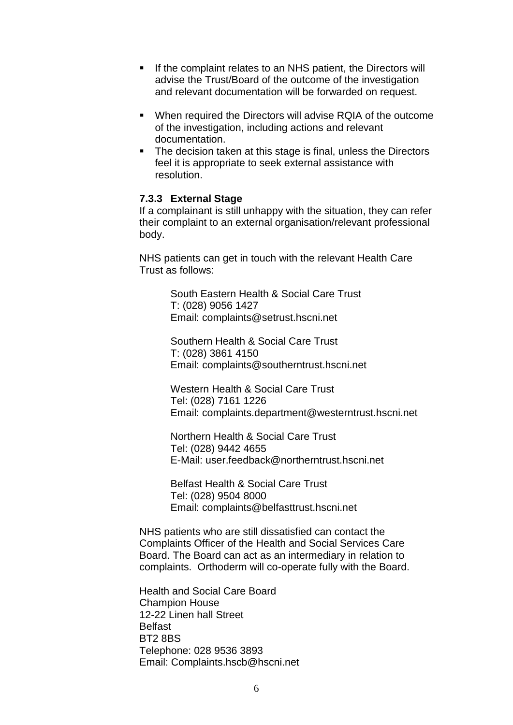- If the complaint relates to an NHS patient, the Directors will advise the Trust/Board of the outcome of the investigation and relevant documentation will be forwarded on request.
- When required the Directors will advise RQIA of the outcome of the investigation, including actions and relevant documentation.
- The decision taken at this stage is final, unless the Directors feel it is appropriate to seek external assistance with resolution.

#### **7.3.3 External Stage**

If a complainant is still unhappy with the situation, they can refer their complaint to an external organisation/relevant professional body.

NHS patients can get in touch with the relevant Health Care Trust as follows:

> South Eastern Health & Social Care Trust T: (028) 9056 1427 Email: complaints@setrust.hscni.net

Southern Health & Social Care Trust T: (028) 3861 4150 Email: complaints@southerntrust.hscni.net

Western Health & Social Care Trust Tel: (028) 7161 1226 Email: complaints.department@westerntrust.hscni.net

Northern Health & Social Care Trust Tel: (028) 9442 4655 E-Mail: user.feedback@northerntrust.hscni.net

Belfast Health & Social Care Trust Tel: (028) 9504 8000 Email: complaints@belfasttrust.hscni.net

NHS patients who are still dissatisfied can contact the Complaints Officer of the Health and Social Services Care Board. The Board can act as an intermediary in relation to complaints. Orthoderm will co-operate fully with the Board.

Health and Social Care Board Champion House 12-22 Linen hall Street **Belfast** BT2 8BS Telephone: 028 9536 3893 Email: Complaints.hscb@hscni.net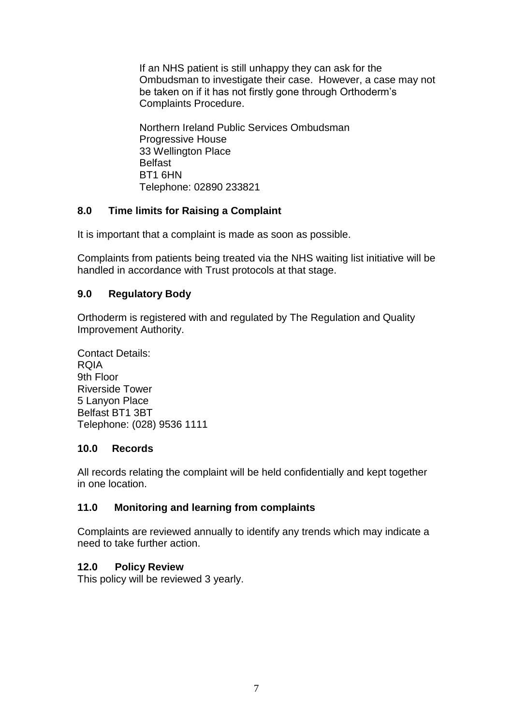If an NHS patient is still unhappy they can ask for the Ombudsman to investigate their case. However, a case may not be taken on if it has not firstly gone through Orthoderm's Complaints Procedure.

Northern Ireland Public Services Ombudsman Progressive House 33 Wellington Place Belfast BT1 6HN Telephone: 02890 233821

#### **8.0 Time limits for Raising a Complaint**

It is important that a complaint is made as soon as possible.

Complaints from patients being treated via the NHS waiting list initiative will be handled in accordance with Trust protocols at that stage.

#### **9.0 Regulatory Body**

Orthoderm is registered with and regulated by The Regulation and Quality Improvement Authority.

Contact Details: RQIA 9th Floor Riverside Tower 5 Lanyon Place Belfast BT1 3BT Telephone: (028) 9536 1111

#### **10.0 Records**

All records relating the complaint will be held confidentially and kept together in one location.

#### **11.0 Monitoring and learning from complaints**

Complaints are reviewed annually to identify any trends which may indicate a need to take further action.

#### **12.0 Policy Review**

This policy will be reviewed 3 yearly.